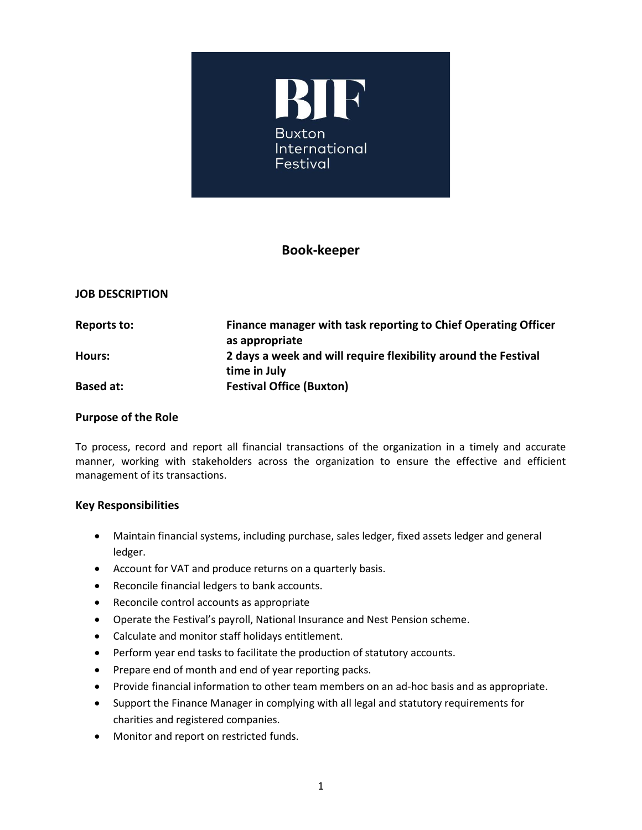

# **Book-keeper**

## **JOB DESCRIPTION**

| <b>Reports to:</b> | Finance manager with task reporting to Chief Operating Officer |
|--------------------|----------------------------------------------------------------|
|                    | as appropriate                                                 |
| Hours:             | 2 days a week and will require flexibility around the Festival |
|                    | time in July                                                   |
| Based at:          | <b>Festival Office (Buxton)</b>                                |

### **Purpose of the Role**

To process, record and report all financial transactions of the organization in a timely and accurate manner, working with stakeholders across the organization to ensure the effective and efficient management of its transactions.

#### **Key Responsibilities**

- Maintain financial systems, including purchase, sales ledger, fixed assets ledger and general ledger.
- Account for VAT and produce returns on a quarterly basis.
- Reconcile financial ledgers to bank accounts.
- Reconcile control accounts as appropriate
- Operate the Festival's payroll, National Insurance and Nest Pension scheme.
- Calculate and monitor staff holidays entitlement.
- Perform year end tasks to facilitate the production of statutory accounts.
- Prepare end of month and end of year reporting packs.
- Provide financial information to other team members on an ad-hoc basis and as appropriate.
- Support the Finance Manager in complying with all legal and statutory requirements for charities and registered companies.
- Monitor and report on restricted funds.